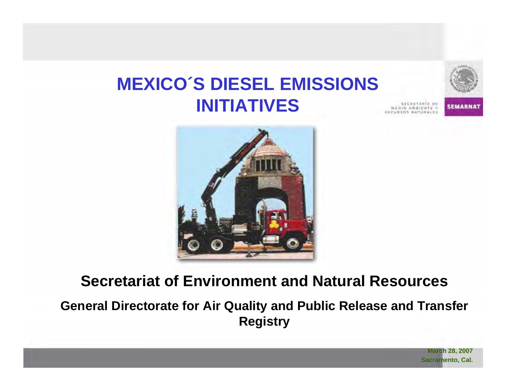# **MEXICO´S DIESEL EMISSIONS INITIATIVES**

**SEMARNAT** 



### **Secretariat of Environment and Natural Resources**

### **General Directorate for Air Quality and Public Release and Transfer Registry**

**March 28, 2007 Sacramento, Cal.**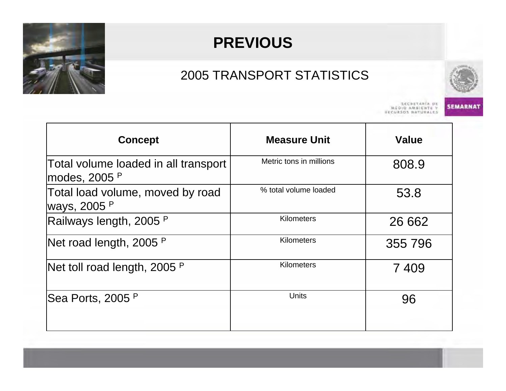

# **PREVIOUS**

### 2005 TRANSPORT STATISTICS



**SEMARNAT** 

SECRETARÍA DE<br>Y ARDIO AMBIENTE<br>ESCURSOS NATURALES

| <b>Concept</b>                                        | <b>Measure Unit</b>     | <b>Value</b> |
|-------------------------------------------------------|-------------------------|--------------|
| Total volume loaded in all transport<br>modes, 2005 P | Metric tons in millions | 808.9        |
| Total load volume, moved by road<br>ways, 2005 P      | % total volume loaded   | 53.8         |
| Railways length, 2005 P                               | <b>Kilometers</b>       | 26 662       |
| Net road length, 2005 P                               | <b>Kilometers</b>       | 355 796      |
| Net toll road length, 2005 P                          | <b>Kilometers</b>       | 7409         |
| Sea Ports, 2005 P                                     | <b>Units</b>            | 96           |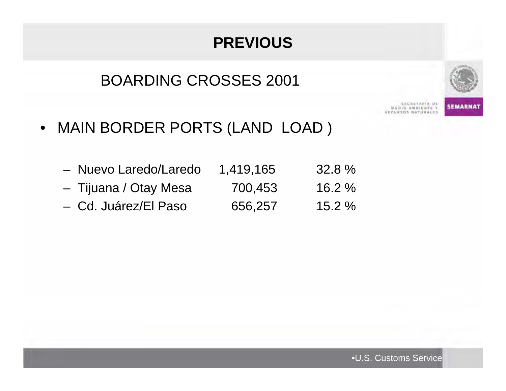# **PREVIOUS**

### BOARDING CROSSES 2001



**SECRETARÍA DE** DIO AMBIENTE V

**SEMARNAT** 

- MAIN BORDER PORTS (LAND LOAD )
	- Nuevo Laredo/Laredo 1,419,165 32.8 %
	- –Tijuana / Otay Mesa 700,453 16.2 %
	- Cd. Juárez/El Paso 656,257 15.2 %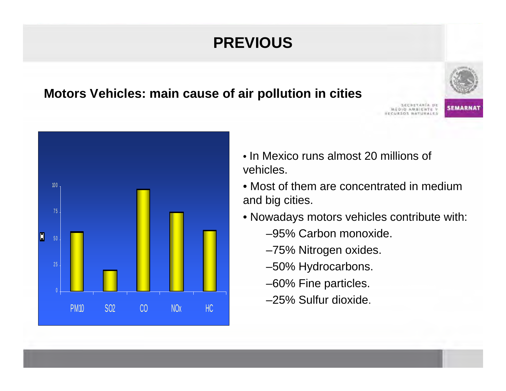# **PREVIOUS**

#### **Motors Vehicles: main cause of air pollution in cities**





- In Mexico runs almost 20 millions of vehicles.
- Most of them are concentrated in medium and big cities.
- Nowadays motors vehicles contribute with:
	- –95% Carbon monoxide.
	- –75% Nitrogen oxides.
	- –50% Hydrocarbons.
	- –60% Fine particles.
	- –25% Sulfur dioxide.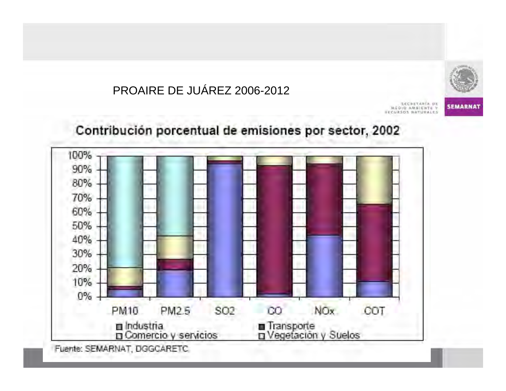



**SEMARNAT** 

SECRETARÍA DE DIO AMBIENTE I

Contribución porcentual de emisiones por sector, 2002



Fuente: SEMARNAT, DGGCARETC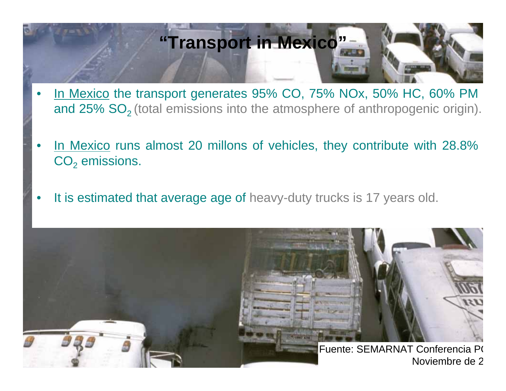# **"Transport in Mexico"**

- •In Mexico the transport generates 95% CO, 75% NOx, 50% HC, 60% PM and 25% SO<sub>2</sub> (total emissions into the atmosphere of anthropogenic origin).
- •In Mexico runs almost 20 millons of vehicles, they contribute with 28.8%  $\mathsf{CO}_2$  emissions.
- •It is estimated that average age of heavy-duty trucks is 17 years old.

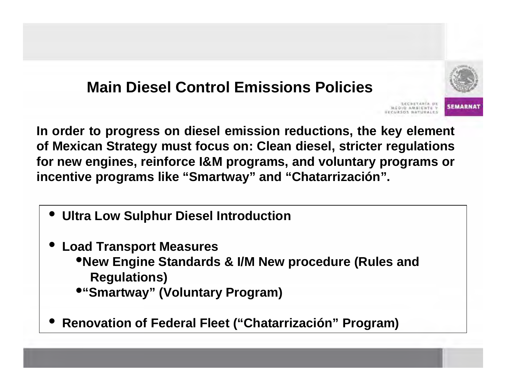

**In order to progress on diesel emission reductions, the key element of Mexican Strategy must focus on: Clean diesel, stricter regulations for new engines, reinforce I&M programs, and voluntary programs or incentive programs like "Smartway" and "Chatarrización".** 

- •**Ultra Low Sulphur Diesel Introduction**
- • **Load Transport Measures** •**New Engine Standards & I/M New procedure (Rules and Regulations)**
	- •**"Smartway" (Voluntary Program)**
- •**Renovation of Federal Fleet ("Chatarrización" Program)**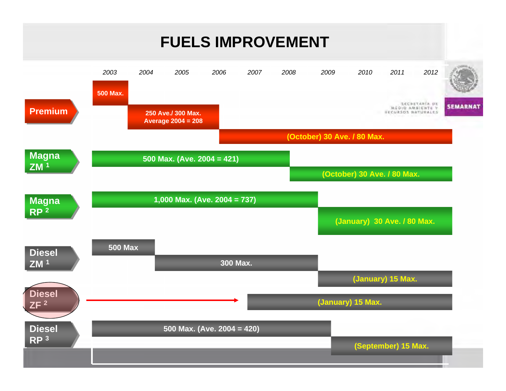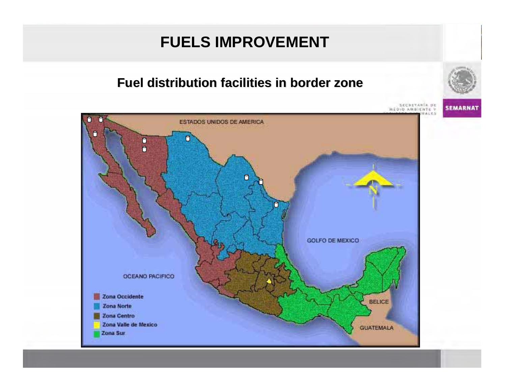#### **Fuel distribution facilities in border zone Fuel distribution facilities in border zone**

SECRETARÍA DE<br>MEDIO AMBIENTE Y





**SEMARNAT**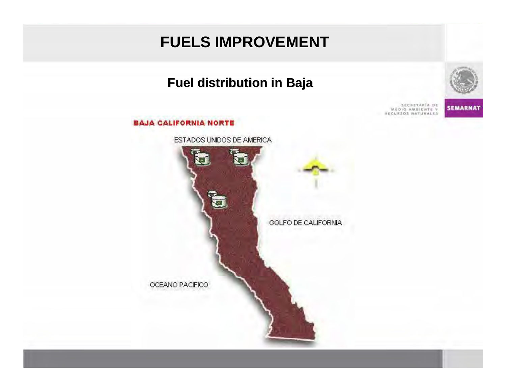#### **Fuel distribution in Baja Fuel distribution in Baja**





SECRETARÍA DE<br>MÉDIO AMBIENTE Y<br>ESCURSOS NATURALES **SEMARNAT**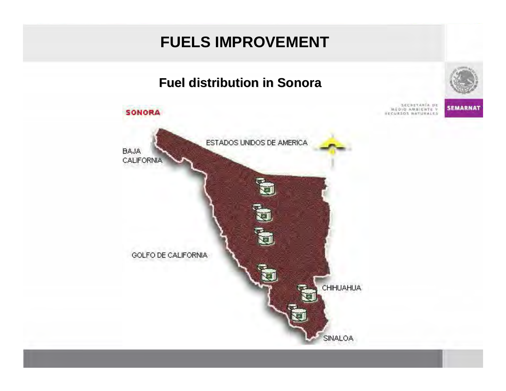#### **Fuel distribution distribution in Sonora in Sonora**





**SEMARNAT**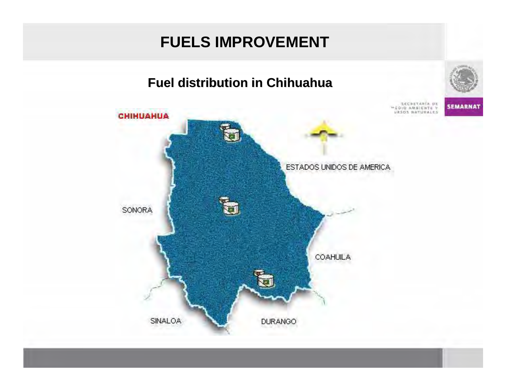#### **Fuel distribution distribution in Chihuahua in Chihuahua**



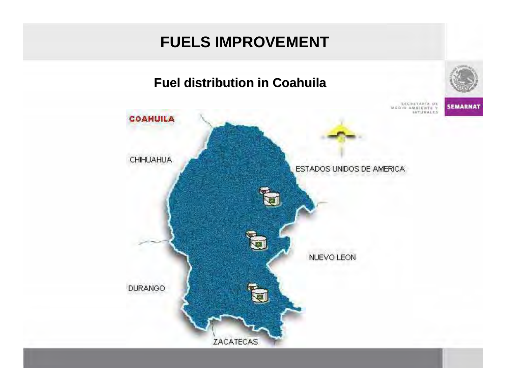



**SEMARNAT** 

SECRETARÍA DE **ISTURALES** 

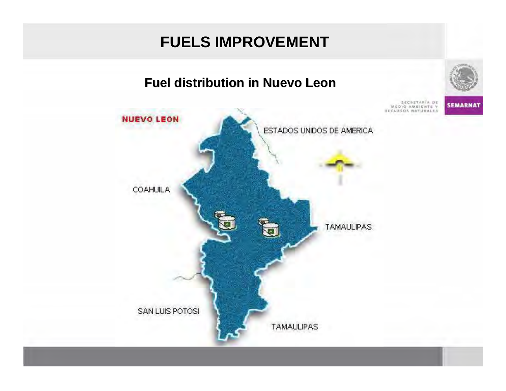





**SEMARNAT**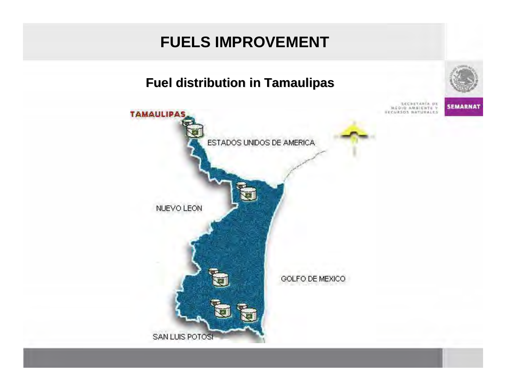### **Fuel distribution distribution in Tamaulipas in Tamaulipas**



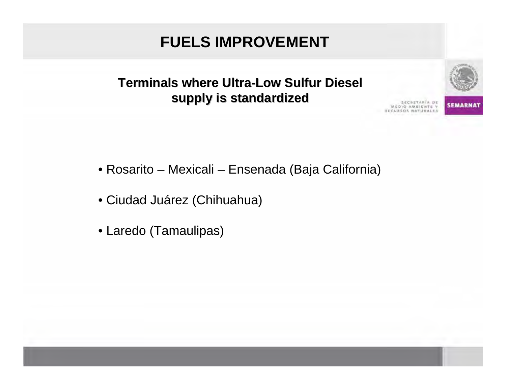**Terminals Terminals where Ultra -Low Sulfur Diesel supply is standardized standardized**





**SEMARNA** 

- Rosarito Mexicali Ensenada (Baja California)
- Ciudad Juárez (Chihuahua)
- Laredo (Tamaulipas)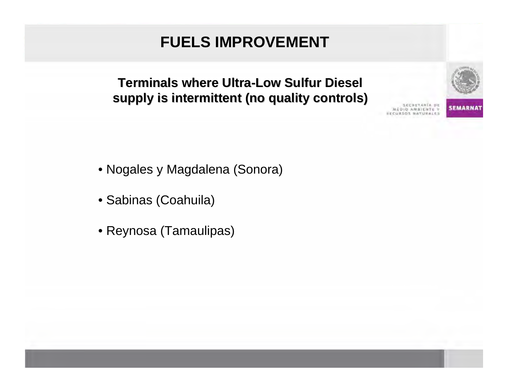#### **Terminals where Ultra Terminals where Ultra-Low Sulfur Diesel Low Sulfur Diesel supply is intermittent (no quality controls)**





- Nogales y Magdalena (Sonora)
- Sabinas (Coahuila)
- Reynosa (Tamaulipas)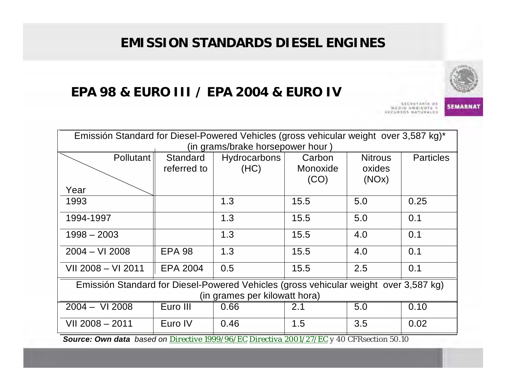### **EMISSION STANDARDS DIESEL ENGINES**

#### **EPA 98 & EURO III / EPA 2004 & EURO IV**

**ECRETARIA DE** AMBIENTE Y

**SEMARNAT** 

| Emissión Standard for Diesel-Powered Vehicles (gross vehicular weight over 3,587 kg)* |                 |              |          |                |                  |  |  |
|---------------------------------------------------------------------------------------|-----------------|--------------|----------|----------------|------------------|--|--|
| (in grams/brake horsepower hour)                                                      |                 |              |          |                |                  |  |  |
| Pollutant                                                                             | Standard        | Hydrocarbons | Carbon   | <b>Nitrous</b> | <b>Particles</b> |  |  |
|                                                                                       | referred to     | (HC)         | Monoxide | oxides         |                  |  |  |
|                                                                                       |                 |              | (CO)     | (NOx)          |                  |  |  |
| Year                                                                                  |                 |              |          |                |                  |  |  |
| 1993                                                                                  |                 | 1.3          | 15.5     | 5.0            | 0.25             |  |  |
| 1994-1997                                                                             |                 | 1.3          | 15.5     | 5.0            | 0.1              |  |  |
| $1998 - 2003$                                                                         |                 | 1.3          | 15.5     | 4.0            | 0.1              |  |  |
| $2004 - VI$ 2008                                                                      | <b>EPA 98</b>   | 1.3          | 15.5     | 4.0            | 0.1              |  |  |
| VII 2008 - VI 2011                                                                    | <b>EPA 2004</b> | 0.5          | 15.5     | 2.5            | 0.1              |  |  |
| Emissión Standard for Diesel-Powered Vehicles (gross vehicular weight over 3,587 kg)  |                 |              |          |                |                  |  |  |
| (in grames per kilowatt hora)                                                         |                 |              |          |                |                  |  |  |
| $2004 - VI 2008$                                                                      | Euro III        | 0.66         | 2.1      | 5.0            | 0.10             |  |  |
| VII 2008 - 2011                                                                       | Euro IV         | 0.46         | 1.5      | 3.5            | 0.02             |  |  |

*Source: Own data based on Directive 1999/96/EC Directiva 2001/27/EC y 40 CFRsection 50.10*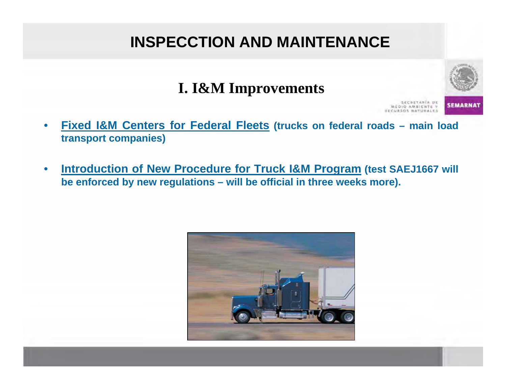# **INSPECCTION AND MAINTENANCE**



**SEMARN** 

**I. I&M Improvements**

- • **Fixed I&M Centers for Federal Fleets (trucks on federal roads – main load transport companies)**
- • **Introduction of New Procedure for Truck I&M Program (test SAEJ1667 will be enforced by new regulations – will be official in three weeks more).**

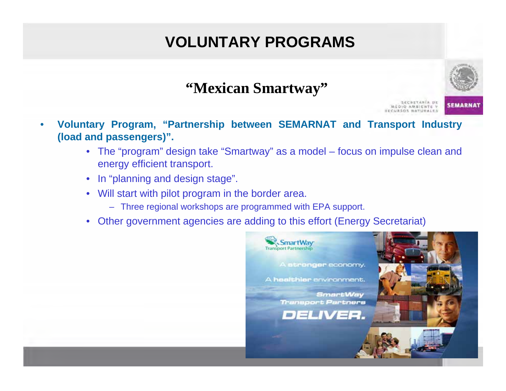# **VOLUNTARY PROGRAMS**



*SEMARN* 

• **Voluntary Program, "Partnership between SEMARNAT and Transport Industry (load and passengers)".**

**"Mexican Smartway"**

- The "program" design take "Smartway" as a model focus on impulse clean and energy efficient transport.
- In "planning and design stage".
- Will start with pilot program in the border area.
	- Three regional workshops are programmed with EPA support.
- •Other government agencies are adding to this effort (Energy Secretariat)

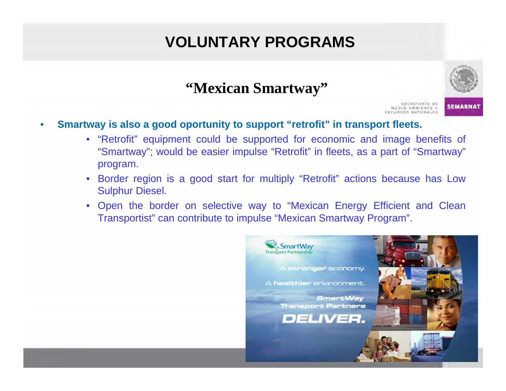# **VOLUNTARY PROGRAMS**



**SEMARNAT** 

**"Mexican Smartway"**

- • **Smartway is also a good oportunity to support "retrofit" in transport fleets.**
	- "Retrofit" equipment could be supported for economic and image benefits of "Smartway"; would be easier impulse "Retrofit" in fleets, as a part of "Smartway" program.
	- Border region is a good start for multiply "Retrofit" actions because has Low Sulphur Diesel.
	- Open the border on selective way to "Mexican Energy Efficient and Clean Transportist" can contribute to impulse "Mexican Smartway Program".

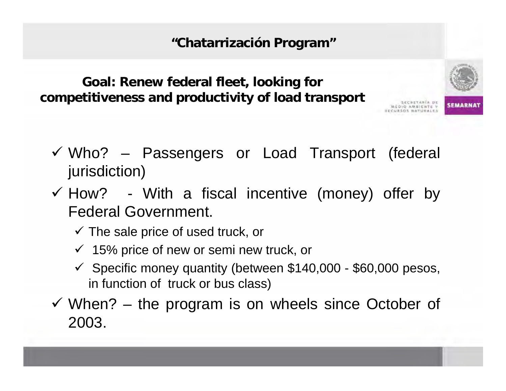**"Chatarrización Program"**

### **Goal: Renew federal fleet, looking for competitiveness and productivity of load transport**

- $\checkmark$  Who? Passengers or Load Transport (federal jurisdiction)
- $\checkmark$  How? With a fiscal incentive (money) offer by Federal Government.
	- $\checkmark$  The sale price of used truck, or
	- $\checkmark$  15% price of new or semi new truck, or
	- $\checkmark$  Specific money quantity (between \$140,000 \$60,000 pesos, in function of truck or bus class)
- $\checkmark$  When? the program is on wheels since October of 2003.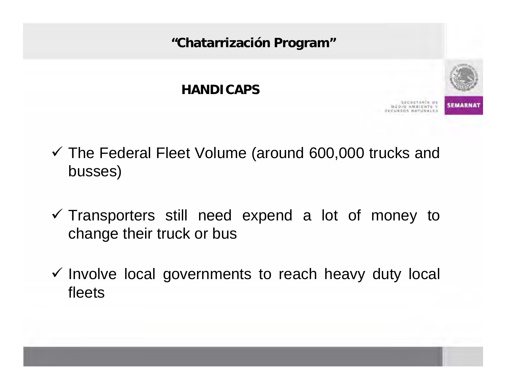**"Chatarrización Program"**

#### **HANDICAPS**



- $\checkmark$  The Federal Fleet Volume (around 600,000 trucks and busses)
- $\checkmark$  Transporters still need expend a lot of money to change their truck or bus
- $\checkmark$  Involve local governments to reach heavy duty local fleets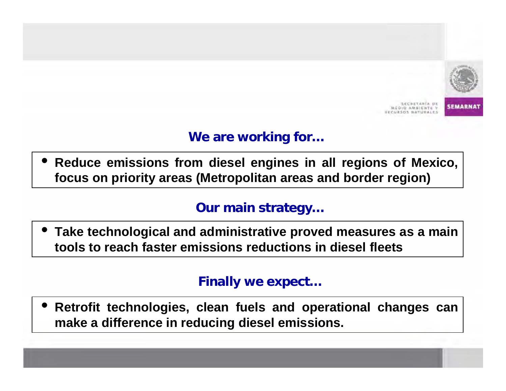

**SEMARNI** 

### **We are working for…**

• **Reduce emissions from diesel engines in all regions of Mexico, focus on priority areas (Metropolitan areas and border region)** 

#### **Our main strategy…**

• **Take technological and administrative proved measures as a main tools to reach faster emissions reductions in diesel fleets**

#### **Finally we expect…**

• **Retrofit technologies, clean fuels and operational changes can make a difference in reducing diesel emissions.**